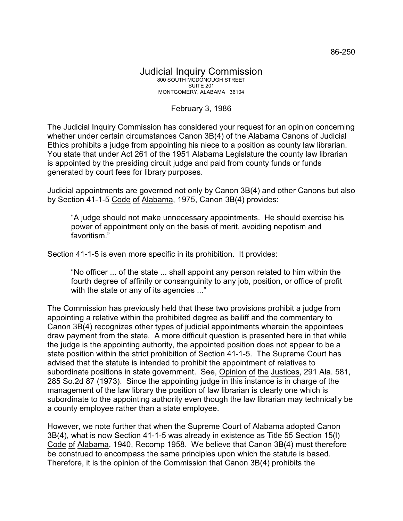## Judicial Inquiry Commission 800 SOUTH MCDONOUGH STREET SUITE 201 MONTGOMERY, ALABAMA 36104

## February 3, 1986

The Judicial Inquiry Commission has considered your request for an opinion concerning whether under certain circumstances Canon 3B(4) of the Alabama Canons of Judicial Ethics prohibits a judge from appointing his niece to a position as county law librarian. You state that under Act 261 of the 1951 Alabama Legislature the county law librarian is appointed by the presiding circuit judge and paid from county funds or funds generated by court fees for library purposes.

Judicial appointments are governed not only by Canon 3B(4) and other Canons but also by Section 41-1-5 Code of Alabama, 1975, Canon 3B(4) provides:

"A judge should not make unnecessary appointments. He should exercise his power of appointment only on the basis of merit, avoiding nepotism and favoritism."

Section 41-1-5 is even more specific in its prohibition. It provides:

"No officer ... of the state ... shall appoint any person related to him within the fourth degree of affinity or consanguinity to any job, position, or office of profit with the state or any of its agencies ..."

The Commission has previously held that these two provisions prohibit a judge from appointing a relative within the prohibited degree as bailiff and the commentary to Canon 3B(4) recognizes other types of judicial appointments wherein the appointees draw payment from the state. A more difficult question is presented here in that while the judge is the appointing authority, the appointed position does not appear to be a state position within the strict prohibition of Section 41-1-5. The Supreme Court has advised that the statute is intended to prohibit the appointment of relatives to subordinate positions in state government. See, Opinion of the Justices, 291 Ala. 581, 285 So.2d 87 (1973). Since the appointing judge in this instance is in charge of the management of the law library the position of law librarian is clearly one which is subordinate to the appointing authority even though the law librarian may technically be a county employee rather than a state employee.

However, we note further that when the Supreme Court of Alabama adopted Canon 3B(4), what is now Section 41-1-5 was already in existence as Title 55 Section 15(l) Code of Alabama, 1940, Recomp 1958. We believe that Canon 3B(4) must therefore be construed to encompass the same principles upon which the statute is based. Therefore, it is the opinion of the Commission that Canon 3B(4) prohibits the